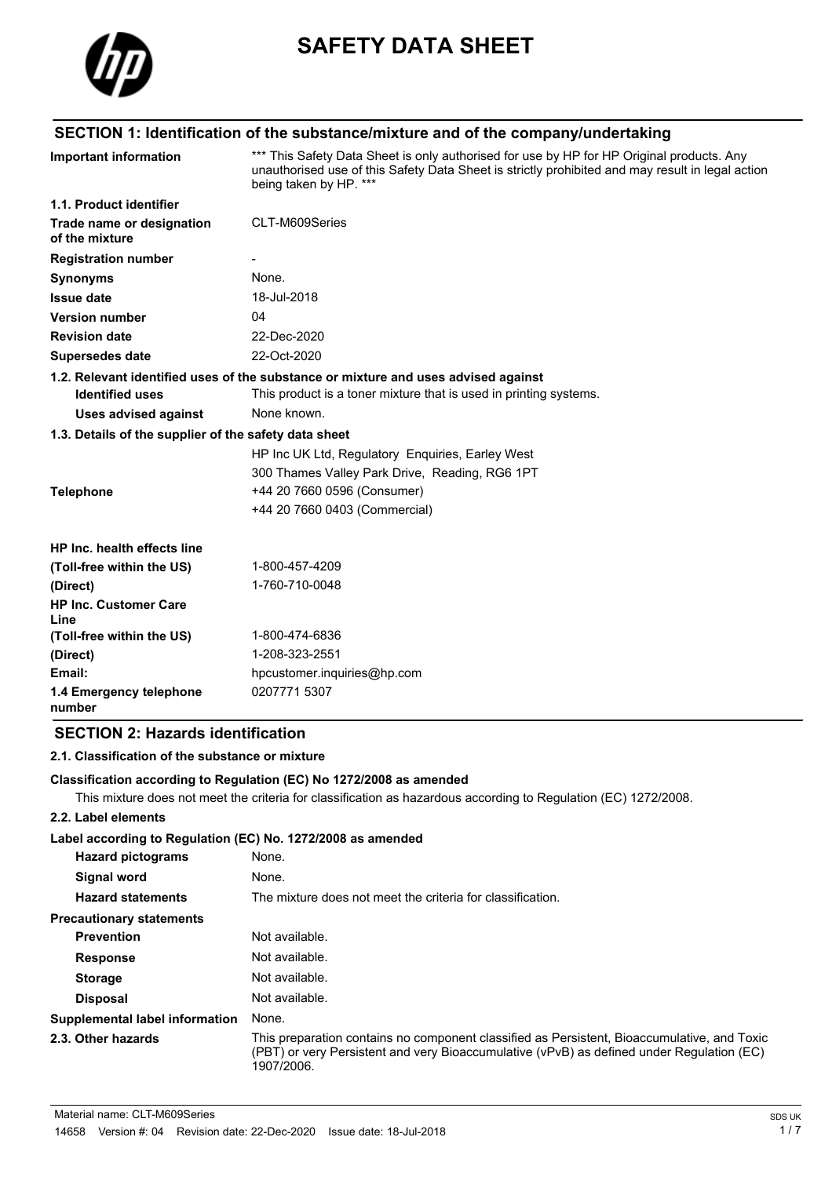

# **SAFETY DATA SHEET**

# **SECTION 1: Identification of the substance/mixture and of the company/undertaking**

| <b>Important information</b>                          | *** This Safety Data Sheet is only authorised for use by HP for HP Original products. Any<br>unauthorised use of this Safety Data Sheet is strictly prohibited and may result in legal action<br>being taken by HP. *** |  |
|-------------------------------------------------------|-------------------------------------------------------------------------------------------------------------------------------------------------------------------------------------------------------------------------|--|
| 1.1. Product identifier                               |                                                                                                                                                                                                                         |  |
| Trade name or designation<br>of the mixture           | CLT-M609Series                                                                                                                                                                                                          |  |
| <b>Registration number</b>                            |                                                                                                                                                                                                                         |  |
| <b>Synonyms</b>                                       | None.                                                                                                                                                                                                                   |  |
| <b>Issue date</b>                                     | 18-Jul-2018                                                                                                                                                                                                             |  |
| <b>Version number</b>                                 | 04                                                                                                                                                                                                                      |  |
| <b>Revision date</b>                                  | 22-Dec-2020                                                                                                                                                                                                             |  |
| Supersedes date                                       | 22-Oct-2020                                                                                                                                                                                                             |  |
|                                                       | 1.2. Relevant identified uses of the substance or mixture and uses advised against                                                                                                                                      |  |
| <b>Identified uses</b>                                | This product is a toner mixture that is used in printing systems.                                                                                                                                                       |  |
| <b>Uses advised against</b>                           | None known.                                                                                                                                                                                                             |  |
| 1.3. Details of the supplier of the safety data sheet |                                                                                                                                                                                                                         |  |
|                                                       | HP Inc UK Ltd, Regulatory Enquiries, Earley West                                                                                                                                                                        |  |
|                                                       | 300 Thames Valley Park Drive, Reading, RG6 1PT                                                                                                                                                                          |  |
| <b>Telephone</b>                                      | +44 20 7660 0596 (Consumer)                                                                                                                                                                                             |  |
|                                                       | +44 20 7660 0403 (Commercial)                                                                                                                                                                                           |  |
| HP Inc. health effects line                           |                                                                                                                                                                                                                         |  |
| (Toll-free within the US)                             | 1-800-457-4209                                                                                                                                                                                                          |  |
| (Direct)                                              | 1-760-710-0048                                                                                                                                                                                                          |  |
| <b>HP Inc. Customer Care</b><br>Line                  |                                                                                                                                                                                                                         |  |
| (Toll-free within the US)                             | 1-800-474-6836                                                                                                                                                                                                          |  |
| (Direct)                                              | 1-208-323-2551                                                                                                                                                                                                          |  |
| Email:                                                | hpcustomer.inquiries@hp.com                                                                                                                                                                                             |  |
| 1.4 Emergency telephone<br>number                     | 0207771 5307                                                                                                                                                                                                            |  |

## **SECTION 2: Hazards identification**

## **2.1. Classification of the substance or mixture**

**Classification according to Regulation (EC) No 1272/2008 as amended**

This mixture does not meet the criteria for classification as hazardous according to Regulation (EC) 1272/2008.

### **2.2. Label elements**

**Label according to Regulation (EC) No. 1272/2008 as amended**

| <b>Hazard pictograms</b>        | None.                                                                                                                                                                                                  |
|---------------------------------|--------------------------------------------------------------------------------------------------------------------------------------------------------------------------------------------------------|
| Signal word                     | None.                                                                                                                                                                                                  |
| <b>Hazard statements</b>        | The mixture does not meet the criteria for classification.                                                                                                                                             |
| <b>Precautionary statements</b> |                                                                                                                                                                                                        |
| <b>Prevention</b>               | Not available.                                                                                                                                                                                         |
| <b>Response</b>                 | Not available.                                                                                                                                                                                         |
| <b>Storage</b>                  | Not available.                                                                                                                                                                                         |
| <b>Disposal</b>                 | Not available.                                                                                                                                                                                         |
| Supplemental label information  | None.                                                                                                                                                                                                  |
| 2.3. Other hazards              | This preparation contains no component classified as Persistent, Bioaccumulative, and Toxic<br>(PBT) or very Persistent and very Bioaccumulative (vPvB) as defined under Regulation (EC)<br>1907/2006. |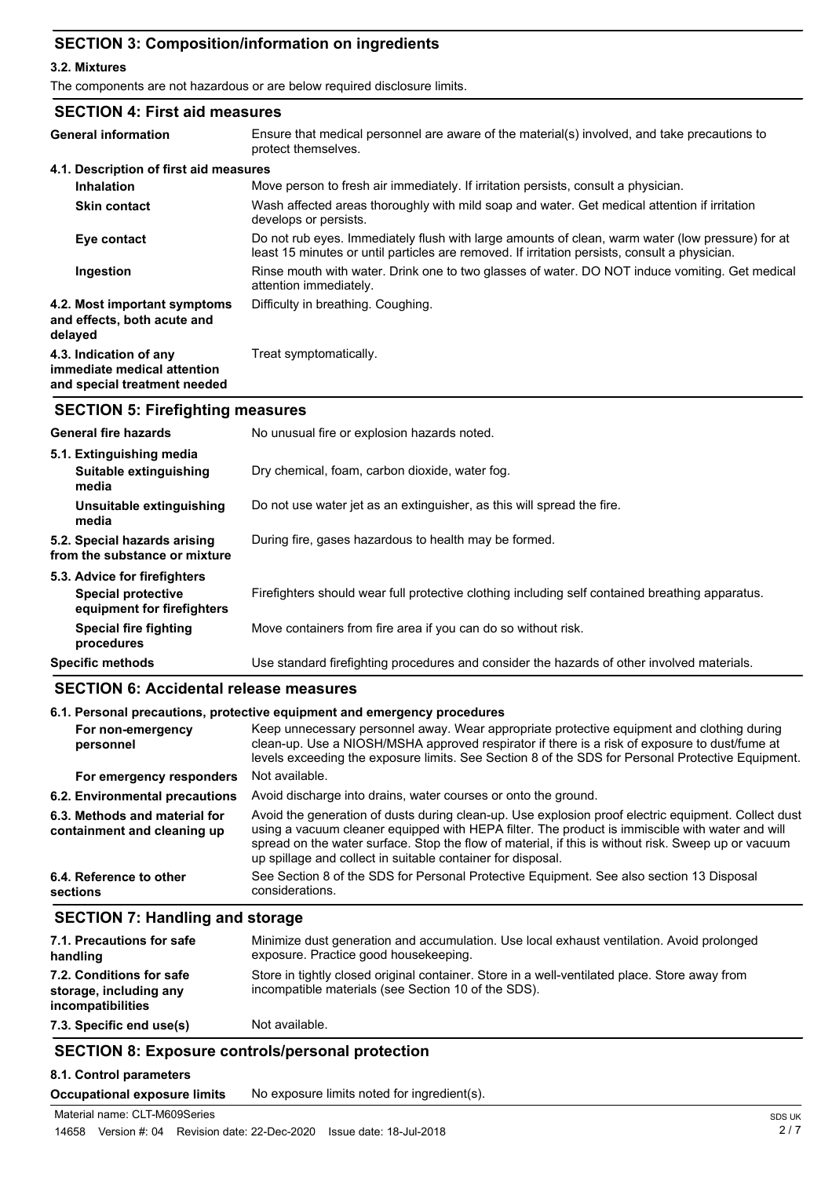## **SECTION 3: Composition/information on ingredients**

### **3.2. Mixtures**

The components are not hazardous or are below required disclosure limits.

| <b>SECTION 4: First aid measures</b>                                                  |                                                                                                                                                                                                   |
|---------------------------------------------------------------------------------------|---------------------------------------------------------------------------------------------------------------------------------------------------------------------------------------------------|
| <b>General information</b>                                                            | Ensure that medical personnel are aware of the material(s) involved, and take precautions to<br>protect themselves.                                                                               |
| 4.1. Description of first aid measures                                                |                                                                                                                                                                                                   |
| <b>Inhalation</b>                                                                     | Move person to fresh air immediately. If irritation persists, consult a physician.                                                                                                                |
| <b>Skin contact</b>                                                                   | Wash affected areas thoroughly with mild soap and water. Get medical attention if irritation<br>develops or persists.                                                                             |
| Eye contact                                                                           | Do not rub eyes. Immediately flush with large amounts of clean, warm water (low pressure) for at<br>least 15 minutes or until particles are removed. If irritation persists, consult a physician. |
| Ingestion                                                                             | Rinse mouth with water. Drink one to two glasses of water. DO NOT induce vomiting. Get medical<br>attention immediately.                                                                          |
| 4.2. Most important symptoms<br>and effects, both acute and<br>delayed                | Difficulty in breathing. Coughing.                                                                                                                                                                |
| 4.3. Indication of any<br>immediate medical attention<br>and special treatment needed | Treat symptomatically.                                                                                                                                                                            |
|                                                                                       |                                                                                                                                                                                                   |

## **SECTION 5: Firefighting measures**

| <b>General fire hazards</b>                                   | No unusual fire or explosion hazards noted.                                                     |
|---------------------------------------------------------------|-------------------------------------------------------------------------------------------------|
| 5.1. Extinguishing media                                      |                                                                                                 |
| Suitable extinguishing<br>media                               | Dry chemical, foam, carbon dioxide, water fog.                                                  |
| Unsuitable extinguishing<br>media                             | Do not use water jet as an extinguisher, as this will spread the fire.                          |
| 5.2. Special hazards arising<br>from the substance or mixture | During fire, gases hazardous to health may be formed.                                           |
| 5.3. Advice for firefighters                                  |                                                                                                 |
| Special protective<br>equipment for firefighters              | Firefighters should wear full protective clothing including self contained breathing apparatus. |
| <b>Special fire fighting</b><br>procedures                    | Move containers from fire area if you can do so without risk.                                   |
| <b>Specific methods</b>                                       | Use standard firefighting procedures and consider the hazards of other involved materials.      |

## **SECTION 6: Accidental release measures**

| 6.1. Personal precautions, protective equipment and emergency procedures |                                                                                                                                                                                                                                                                                                                                                                              |
|--------------------------------------------------------------------------|------------------------------------------------------------------------------------------------------------------------------------------------------------------------------------------------------------------------------------------------------------------------------------------------------------------------------------------------------------------------------|
| For non-emergency<br>personnel                                           | Keep unnecessary personnel away. Wear appropriate protective equipment and clothing during<br>clean-up. Use a NIOSH/MSHA approved respirator if there is a risk of exposure to dust/fume at<br>levels exceeding the exposure limits. See Section 8 of the SDS for Personal Protective Equipment.                                                                             |
| For emergency responders                                                 | Not available.                                                                                                                                                                                                                                                                                                                                                               |
| 6.2. Environmental precautions                                           | Avoid discharge into drains, water courses or onto the ground.                                                                                                                                                                                                                                                                                                               |
| 6.3. Methods and material for<br>containment and cleaning up             | Avoid the generation of dusts during clean-up. Use explosion proof electric equipment. Collect dust<br>using a vacuum cleaner equipped with HEPA filter. The product is immiscible with water and will<br>spread on the water surface. Stop the flow of material, if this is without risk. Sweep up or vacuum<br>up spillage and collect in suitable container for disposal. |
| 6.4. Reference to other<br>sections                                      | See Section 8 of the SDS for Personal Protective Equipment. See also section 13 Disposal<br>considerations.                                                                                                                                                                                                                                                                  |

## **SECTION 7: Handling and storage**

| 7.1. Precautions for safe<br>handling                                   | Minimize dust generation and accumulation. Use local exhaust ventilation. Avoid prolonged<br>exposure. Practice good housekeeping.                   |
|-------------------------------------------------------------------------|------------------------------------------------------------------------------------------------------------------------------------------------------|
| 7.2. Conditions for safe<br>storage, including any<br>incompatibilities | Store in tightly closed original container. Store in a well-ventilated place. Store away from<br>incompatible materials (see Section 10 of the SDS). |
| 7.3. Specific end use(s)                                                | Not available.                                                                                                                                       |

## **SECTION 8: Exposure controls/personal protection**

### **8.1. Control parameters**

**Occupational exposure limits** No exposure limits noted for ingredient(s).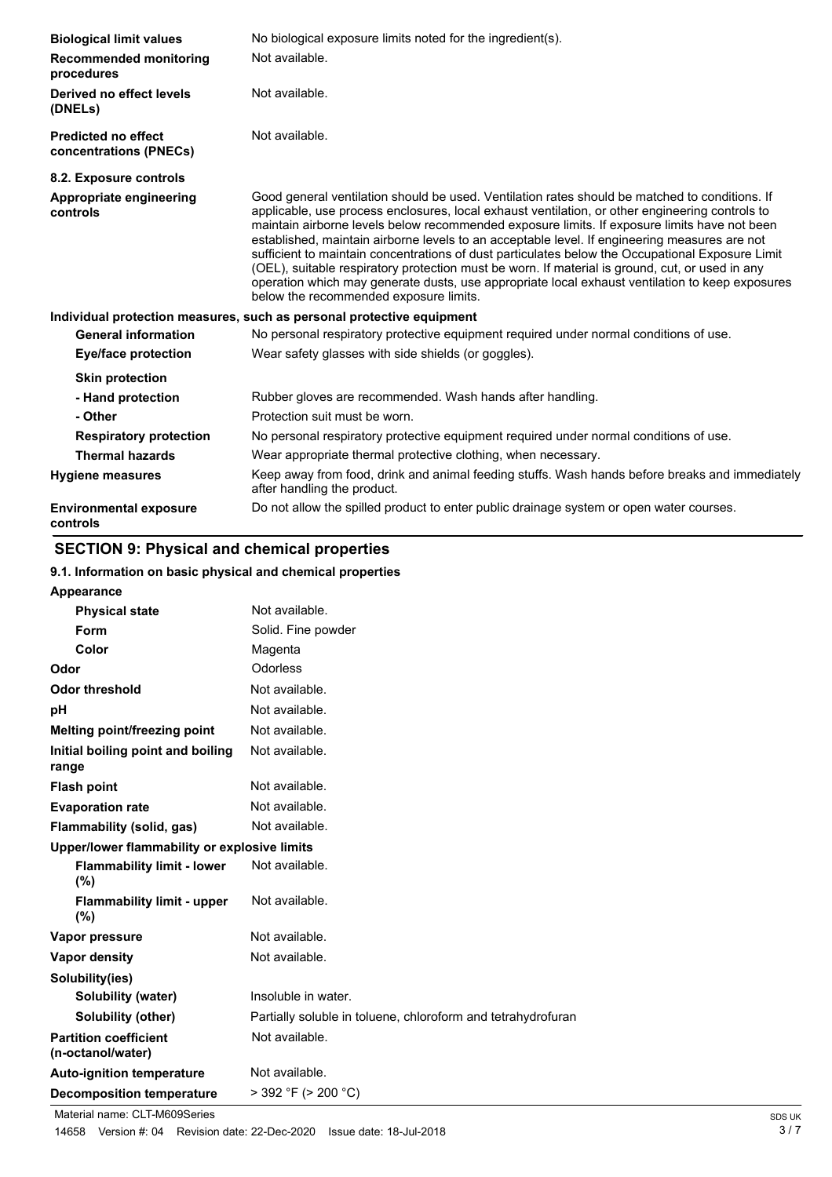| <b>Biological limit values</b>                       | No biological exposure limits noted for the ingredient(s).                                                                                                                                                                                                                                                                                                                                                                                                                                                                                                                                                                                                                                                                                             |
|------------------------------------------------------|--------------------------------------------------------------------------------------------------------------------------------------------------------------------------------------------------------------------------------------------------------------------------------------------------------------------------------------------------------------------------------------------------------------------------------------------------------------------------------------------------------------------------------------------------------------------------------------------------------------------------------------------------------------------------------------------------------------------------------------------------------|
| <b>Recommended monitoring</b><br>procedures          | Not available.                                                                                                                                                                                                                                                                                                                                                                                                                                                                                                                                                                                                                                                                                                                                         |
| Derived no effect levels<br>(DNELs)                  | Not available.                                                                                                                                                                                                                                                                                                                                                                                                                                                                                                                                                                                                                                                                                                                                         |
| <b>Predicted no effect</b><br>concentrations (PNECs) | Not available.                                                                                                                                                                                                                                                                                                                                                                                                                                                                                                                                                                                                                                                                                                                                         |
| 8.2. Exposure controls                               |                                                                                                                                                                                                                                                                                                                                                                                                                                                                                                                                                                                                                                                                                                                                                        |
| Appropriate engineering<br>controls                  | Good general ventilation should be used. Ventilation rates should be matched to conditions. If<br>applicable, use process enclosures, local exhaust ventilation, or other engineering controls to<br>maintain airborne levels below recommended exposure limits. If exposure limits have not been<br>established, maintain airborne levels to an acceptable level. If engineering measures are not<br>sufficient to maintain concentrations of dust particulates below the Occupational Exposure Limit<br>(OEL), suitable respiratory protection must be worn. If material is ground, cut, or used in any<br>operation which may generate dusts, use appropriate local exhaust ventilation to keep exposures<br>below the recommended exposure limits. |
|                                                      | Individual protection measures, such as personal protective equipment                                                                                                                                                                                                                                                                                                                                                                                                                                                                                                                                                                                                                                                                                  |
| <b>General information</b>                           | No personal respiratory protective equipment required under normal conditions of use.                                                                                                                                                                                                                                                                                                                                                                                                                                                                                                                                                                                                                                                                  |
| <b>Eye/face protection</b>                           | Wear safety glasses with side shields (or goggles).                                                                                                                                                                                                                                                                                                                                                                                                                                                                                                                                                                                                                                                                                                    |
| <b>Skin protection</b>                               |                                                                                                                                                                                                                                                                                                                                                                                                                                                                                                                                                                                                                                                                                                                                                        |
| - Hand protection                                    | Rubber gloves are recommended. Wash hands after handling.                                                                                                                                                                                                                                                                                                                                                                                                                                                                                                                                                                                                                                                                                              |
| - Other                                              | Protection suit must be worn.                                                                                                                                                                                                                                                                                                                                                                                                                                                                                                                                                                                                                                                                                                                          |
| <b>Respiratory protection</b>                        | No personal respiratory protective equipment required under normal conditions of use.                                                                                                                                                                                                                                                                                                                                                                                                                                                                                                                                                                                                                                                                  |
| <b>Thermal hazards</b>                               | Wear appropriate thermal protective clothing, when necessary.                                                                                                                                                                                                                                                                                                                                                                                                                                                                                                                                                                                                                                                                                          |
| <b>Hygiene measures</b>                              | Keep away from food, drink and animal feeding stuffs. Wash hands before breaks and immediately<br>after handling the product.                                                                                                                                                                                                                                                                                                                                                                                                                                                                                                                                                                                                                          |
| <b>Environmental exposure</b><br>controls            | Do not allow the spilled product to enter public drainage system or open water courses.                                                                                                                                                                                                                                                                                                                                                                                                                                                                                                                                                                                                                                                                |

# **SECTION 9: Physical and chemical properties**

## **9.1. Information on basic physical and chemical properties**

| Appearance                                        |                                                              |
|---------------------------------------------------|--------------------------------------------------------------|
| <b>Physical state</b>                             | Not available.                                               |
| Form                                              | Solid. Fine powder                                           |
| Color                                             | Magenta                                                      |
| Odor                                              | Odorless                                                     |
| <b>Odor threshold</b>                             | Not available.                                               |
| рH                                                | Not available.                                               |
| Melting point/freezing point                      | Not available.                                               |
| Initial boiling point and boiling<br>range        | Not available.                                               |
| <b>Flash point</b>                                | Not available.                                               |
| <b>Evaporation rate</b>                           | Not available.                                               |
| Flammability (solid, gas)                         | Not available.                                               |
| Upper/lower flammability or explosive limits      |                                                              |
| <b>Flammability limit - lower</b><br>(%)          | Not available.                                               |
| <b>Flammability limit - upper</b><br>$(\% )$      | Not available.                                               |
| Vapor pressure                                    | Not available.                                               |
| <b>Vapor density</b>                              | Not available.                                               |
| Solubility(ies)                                   |                                                              |
| Solubility (water)                                | Insoluble in water.                                          |
| Solubility (other)                                | Partially soluble in toluene, chloroform and tetrahydrofuran |
| <b>Partition coefficient</b><br>(n-octanol/water) | Not available.                                               |
| <b>Auto-ignition temperature</b>                  | Not available.                                               |
| <b>Decomposition temperature</b>                  | $>$ 392 °F ( $>$ 200 °C)                                     |

Material name: CLT-M609Series<br>14658 Version #: 04 Revision date: 22-Dec-2020 Issue date: 18-Jul-2018 14658 Version #: 04 Revision date: 22-Dec-2020 Issue date: 18-Jul-2018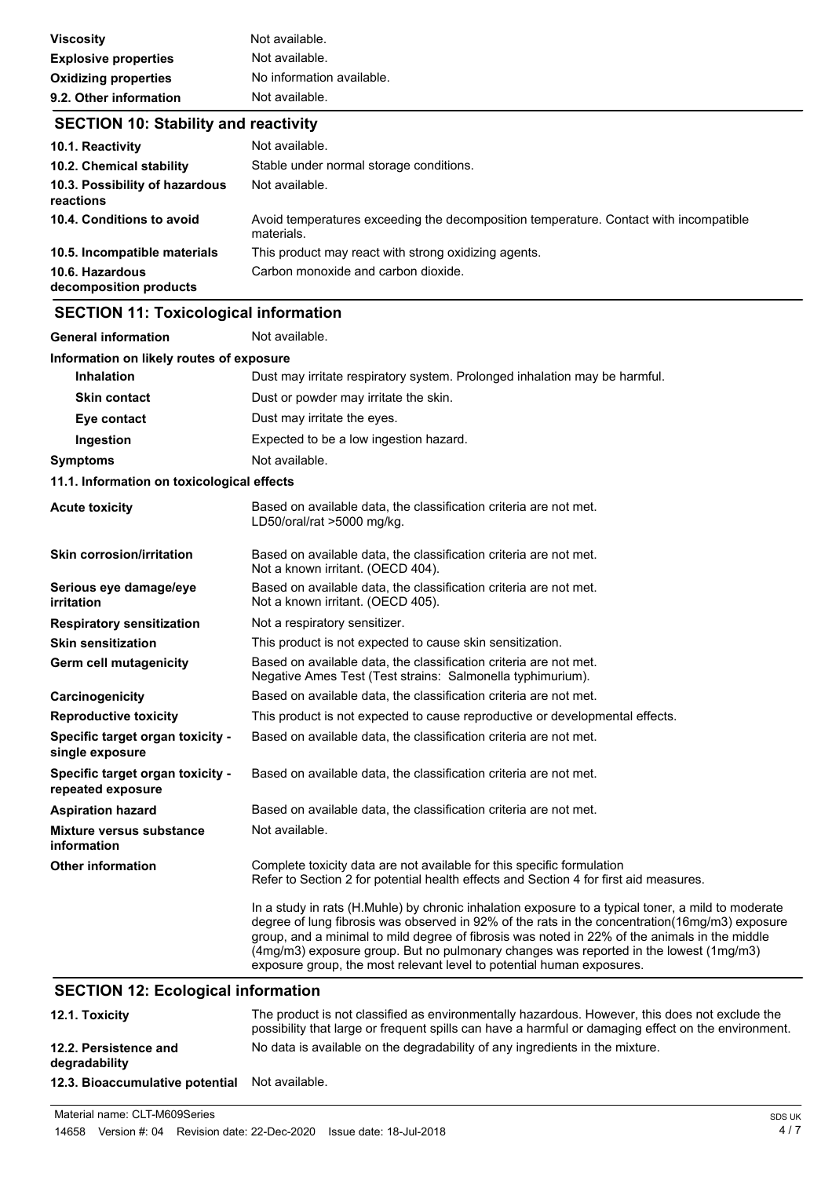| <b>Viscosity</b>            | Not available.            |
|-----------------------------|---------------------------|
| <b>Explosive properties</b> | Not available.            |
| <b>Oxidizing properties</b> | No information available. |
| 9.2. Other information      | Not available.            |

## **SECTION 10: Stability and reactivity**

| 10.1. Reactivity                            | Not available.                                                                                      |
|---------------------------------------------|-----------------------------------------------------------------------------------------------------|
| 10.2. Chemical stability                    | Stable under normal storage conditions.                                                             |
| 10.3. Possibility of hazardous<br>reactions | Not available.                                                                                      |
| 10.4. Conditions to avoid                   | Avoid temperatures exceeding the decomposition temperature. Contact with incompatible<br>materials. |
| 10.5. Incompatible materials                | This product may react with strong oxidizing agents.                                                |
| 10.6. Hazardous<br>decomposition products   | Carbon monoxide and carbon dioxide.                                                                 |

# **SECTION 11: Toxicological information**

| <b>General information</b>                            | Not available.                                                                                                                                                                                                                                                                                                                                                                                                                                                          |  |  |
|-------------------------------------------------------|-------------------------------------------------------------------------------------------------------------------------------------------------------------------------------------------------------------------------------------------------------------------------------------------------------------------------------------------------------------------------------------------------------------------------------------------------------------------------|--|--|
|                                                       | Information on likely routes of exposure                                                                                                                                                                                                                                                                                                                                                                                                                                |  |  |
| <b>Inhalation</b>                                     | Dust may irritate respiratory system. Prolonged inhalation may be harmful.                                                                                                                                                                                                                                                                                                                                                                                              |  |  |
| <b>Skin contact</b>                                   | Dust or powder may irritate the skin.                                                                                                                                                                                                                                                                                                                                                                                                                                   |  |  |
| Eye contact                                           | Dust may irritate the eyes.                                                                                                                                                                                                                                                                                                                                                                                                                                             |  |  |
| Ingestion                                             | Expected to be a low ingestion hazard.                                                                                                                                                                                                                                                                                                                                                                                                                                  |  |  |
| <b>Symptoms</b>                                       | Not available.                                                                                                                                                                                                                                                                                                                                                                                                                                                          |  |  |
| 11.1. Information on toxicological effects            |                                                                                                                                                                                                                                                                                                                                                                                                                                                                         |  |  |
| <b>Acute toxicity</b>                                 | Based on available data, the classification criteria are not met.<br>LD50/oral/rat >5000 mg/kg.                                                                                                                                                                                                                                                                                                                                                                         |  |  |
| <b>Skin corrosion/irritation</b>                      | Based on available data, the classification criteria are not met.<br>Not a known irritant. (OECD 404).                                                                                                                                                                                                                                                                                                                                                                  |  |  |
| Serious eye damage/eye<br>irritation                  | Based on available data, the classification criteria are not met.<br>Not a known irritant. (OECD 405).                                                                                                                                                                                                                                                                                                                                                                  |  |  |
| <b>Respiratory sensitization</b>                      | Not a respiratory sensitizer.                                                                                                                                                                                                                                                                                                                                                                                                                                           |  |  |
| <b>Skin sensitization</b>                             | This product is not expected to cause skin sensitization.                                                                                                                                                                                                                                                                                                                                                                                                               |  |  |
| Germ cell mutagenicity                                | Based on available data, the classification criteria are not met.<br>Negative Ames Test (Test strains: Salmonella typhimurium).                                                                                                                                                                                                                                                                                                                                         |  |  |
| Carcinogenicity                                       | Based on available data, the classification criteria are not met.                                                                                                                                                                                                                                                                                                                                                                                                       |  |  |
| <b>Reproductive toxicity</b>                          | This product is not expected to cause reproductive or developmental effects.                                                                                                                                                                                                                                                                                                                                                                                            |  |  |
| Specific target organ toxicity -<br>single exposure   | Based on available data, the classification criteria are not met.                                                                                                                                                                                                                                                                                                                                                                                                       |  |  |
| Specific target organ toxicity -<br>repeated exposure | Based on available data, the classification criteria are not met.                                                                                                                                                                                                                                                                                                                                                                                                       |  |  |
| <b>Aspiration hazard</b>                              | Based on available data, the classification criteria are not met.                                                                                                                                                                                                                                                                                                                                                                                                       |  |  |
| <b>Mixture versus substance</b><br>information        | Not available.                                                                                                                                                                                                                                                                                                                                                                                                                                                          |  |  |
| <b>Other information</b>                              | Complete toxicity data are not available for this specific formulation<br>Refer to Section 2 for potential health effects and Section 4 for first aid measures.                                                                                                                                                                                                                                                                                                         |  |  |
|                                                       | In a study in rats (H.Muhle) by chronic inhalation exposure to a typical toner, a mild to moderate<br>degree of lung fibrosis was observed in 92% of the rats in the concentration(16mg/m3) exposure<br>group, and a minimal to mild degree of fibrosis was noted in 22% of the animals in the middle<br>(4mg/m3) exposure group. But no pulmonary changes was reported in the lowest (1mg/m3)<br>exposure group, the most relevant level to potential human exposures. |  |  |

# **SECTION 12: Ecological information**

| 12.1. Toxicity                         | The product is not classified as environmentally hazardous. However, this does not exclude the<br>possibility that large or frequent spills can have a harmful or damaging effect on the environment. |
|----------------------------------------|-------------------------------------------------------------------------------------------------------------------------------------------------------------------------------------------------------|
| 12.2. Persistence and<br>degradability | No data is available on the degradability of any ingredients in the mixture.                                                                                                                          |
| 12.3. Bioaccumulative potential        | Not available.                                                                                                                                                                                        |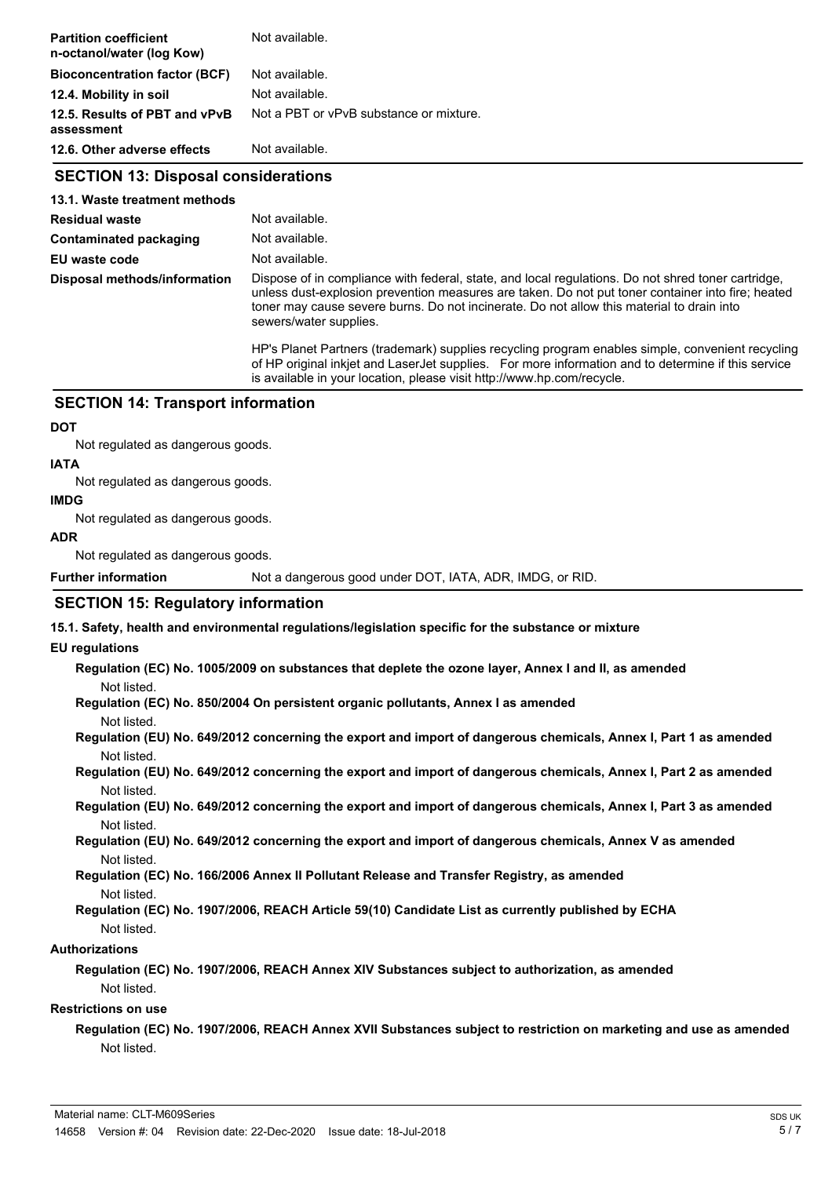| <b>Partition coefficient</b><br>n-octanol/water (log Kow) | Not available.                                                                                                                                                                                                                                                                                                                 |  |
|-----------------------------------------------------------|--------------------------------------------------------------------------------------------------------------------------------------------------------------------------------------------------------------------------------------------------------------------------------------------------------------------------------|--|
| <b>Bioconcentration factor (BCF)</b>                      | Not available.                                                                                                                                                                                                                                                                                                                 |  |
| 12.4. Mobility in soil                                    | Not available.                                                                                                                                                                                                                                                                                                                 |  |
| 12.5. Results of PBT and vPvB<br>assessment               | Not a PBT or vPvB substance or mixture.                                                                                                                                                                                                                                                                                        |  |
| 12.6. Other adverse effects                               | Not available.                                                                                                                                                                                                                                                                                                                 |  |
| <b>SECTION 13: Disposal considerations</b>                |                                                                                                                                                                                                                                                                                                                                |  |
| 13.1. Waste treatment methods                             |                                                                                                                                                                                                                                                                                                                                |  |
| <b>Residual waste</b>                                     | Not available.                                                                                                                                                                                                                                                                                                                 |  |
| Contaminated packaging                                    | Not available.                                                                                                                                                                                                                                                                                                                 |  |
| EU waste code                                             | Not available.                                                                                                                                                                                                                                                                                                                 |  |
| Disposal methods/information                              | Dispose of in compliance with federal, state, and local regulations. Do not shred toner cartridge,<br>unless dust-explosion prevention measures are taken. Do not put toner container into fire; heated<br>toner may cause severe burns. Do not incinerate. Do not allow this material to drain into<br>sewers/water supplies. |  |
|                                                           | HP's Planet Partners (trademark) supplies recycling program enables simple, convenient recycling<br>of HP original inkjet and LaserJet supplies. For more information and to determine if this service<br>is available in your location, please visit http://www.hp.com/recycle.                                               |  |
| <b>SECTION 14: Transport information</b>                  |                                                                                                                                                                                                                                                                                                                                |  |
| <b>DOT</b>                                                |                                                                                                                                                                                                                                                                                                                                |  |
| Not regulated as dangerous goods.                         |                                                                                                                                                                                                                                                                                                                                |  |
| <b>IATA</b>                                               |                                                                                                                                                                                                                                                                                                                                |  |
| Not regulated as dangerous goods.                         |                                                                                                                                                                                                                                                                                                                                |  |
| <b>IMDG</b>                                               |                                                                                                                                                                                                                                                                                                                                |  |
| Not regulated as dangerous goods.                         |                                                                                                                                                                                                                                                                                                                                |  |
| <b>ADR</b>                                                |                                                                                                                                                                                                                                                                                                                                |  |
| Not regulated as dangerous goods.                         |                                                                                                                                                                                                                                                                                                                                |  |

Not regulated as dangerous goods.

**Further information** Not a dangerous good under DOT, IATA, ADR, IMDG, or RID.

### **SECTION 15: Regulatory information**

**15.1. Safety, health and environmental regulations/legislation specific for the substance or mixture**

### **EU regulations**

**Regulation (EC) No. 1005/2009 on substances that deplete the ozone layer, Annex I and II, as amended** Not listed.

**Regulation (EC) No. 850/2004 On persistent organic pollutants, Annex I as amended**

Not listed.

**Regulation (EU) No. 649/2012 concerning the export and import of dangerous chemicals, Annex I, Part 1 as amended** Not listed.

**Regulation (EU) No. 649/2012 concerning the export and import of dangerous chemicals, Annex I, Part 2 as amended** Not listed.

**Regulation (EU) No. 649/2012 concerning the export and import of dangerous chemicals, Annex I, Part 3 as amended** Not listed.

**Regulation (EU) No. 649/2012 concerning the export and import of dangerous chemicals, Annex V as amended** Not listed.

**Regulation (EC) No. 166/2006 Annex II Pollutant Release and Transfer Registry, as amended** Not listed.

**Regulation (EC) No. 1907/2006, REACH Article 59(10) Candidate List as currently published by ECHA** Not listed.

### **Authorizations**

**Regulation (EC) No. 1907/2006, REACH Annex XIV Substances subject to authorization, as amended** Not listed.

### **Restrictions on use**

**Regulation (EC) No. 1907/2006, REACH Annex XVII Substances subject to restriction on marketing and use as amended** Not listed.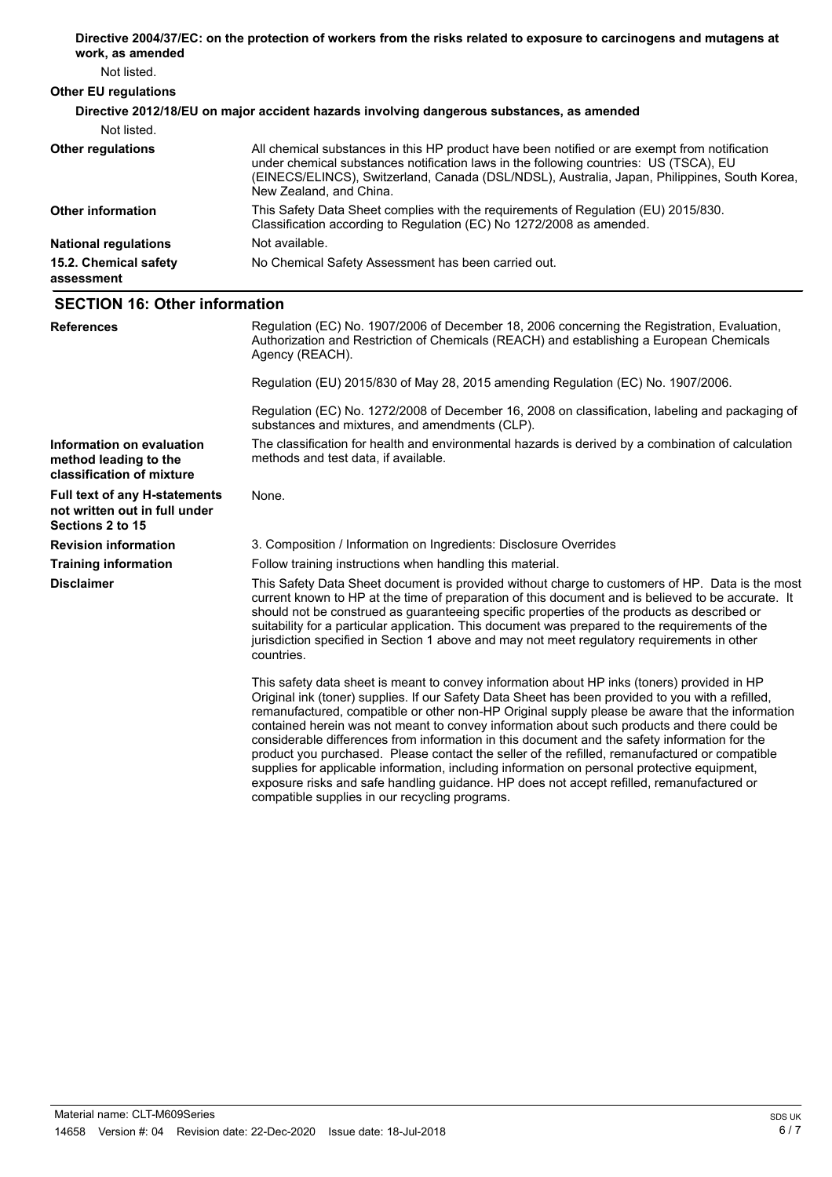| work, as amended                     | Directive 2004/37/EC: on the protection of workers from the risks related to exposure to carcinogens and mutagens at                                                                                                                                                                                              |
|--------------------------------------|-------------------------------------------------------------------------------------------------------------------------------------------------------------------------------------------------------------------------------------------------------------------------------------------------------------------|
| Not listed.                          |                                                                                                                                                                                                                                                                                                                   |
| <b>Other EU regulations</b>          |                                                                                                                                                                                                                                                                                                                   |
|                                      | Directive 2012/18/EU on major accident hazards involving dangerous substances, as amended                                                                                                                                                                                                                         |
| Not listed.                          |                                                                                                                                                                                                                                                                                                                   |
| <b>Other regulations</b>             | All chemical substances in this HP product have been notified or are exempt from notification<br>under chemical substances notification laws in the following countries: US (TSCA), EU<br>(EINECS/ELINCS), Switzerland, Canada (DSL/NDSL), Australia, Japan, Philippines, South Korea,<br>New Zealand, and China. |
| <b>Other information</b>             | This Safety Data Sheet complies with the requirements of Requlation (EU) 2015/830.<br>Classification according to Regulation (EC) No 1272/2008 as amended.                                                                                                                                                        |
| <b>National regulations</b>          | Not available.                                                                                                                                                                                                                                                                                                    |
| 15.2. Chemical safety<br>assessment  | No Chemical Safety Assessment has been carried out.                                                                                                                                                                                                                                                               |
| <b>SECTION 16: Other information</b> |                                                                                                                                                                                                                                                                                                                   |
| <b>References</b>                    | Regulation (EC) No. 1907/2006 of December 18, 2006 concerning the Registration, Evaluation,<br>Authorization and Restriction of Chemicals (REACH) and establishing a European Chemicals<br>Agency (REACH).                                                                                                        |

Regulation (EU) 2015/830 of May 28, 2015 amending Regulation (EC) No. 1907/2006.

Regulation (EC) No. 1272/2008 of December 16, 2008 on classification, labeling and packaging of substances and mixtures, and amendments (CLP). The classification for health and environmental hazards is derived by a combination of calculation

**Information on evaluation method leading to the classification of mixture**

**not written out in full under**

**Sections 2 to 15**

**Disclaimer**

methods and test data, if available. **Full text of any H-statements** None.

**Revision information** 3. Composition / Information on Ingredients: Disclosure Overrides

**Training information** Follow training instructions when handling this material.

This Safety Data Sheet document is provided without charge to customers of HP. Data is the most current known to HP at the time of preparation of this document and is believed to be accurate. It should not be construed as guaranteeing specific properties of the products as described or suitability for a particular application. This document was prepared to the requirements of the jurisdiction specified in Section 1 above and may not meet regulatory requirements in other countries.

This safety data sheet is meant to convey information about HP inks (toners) provided in HP Original ink (toner) supplies. If our Safety Data Sheet has been provided to you with a refilled, remanufactured, compatible or other non-HP Original supply please be aware that the information contained herein was not meant to convey information about such products and there could be considerable differences from information in this document and the safety information for the product you purchased. Please contact the seller of the refilled, remanufactured or compatible supplies for applicable information, including information on personal protective equipment, exposure risks and safe handling guidance. HP does not accept refilled, remanufactured or compatible supplies in our recycling programs.